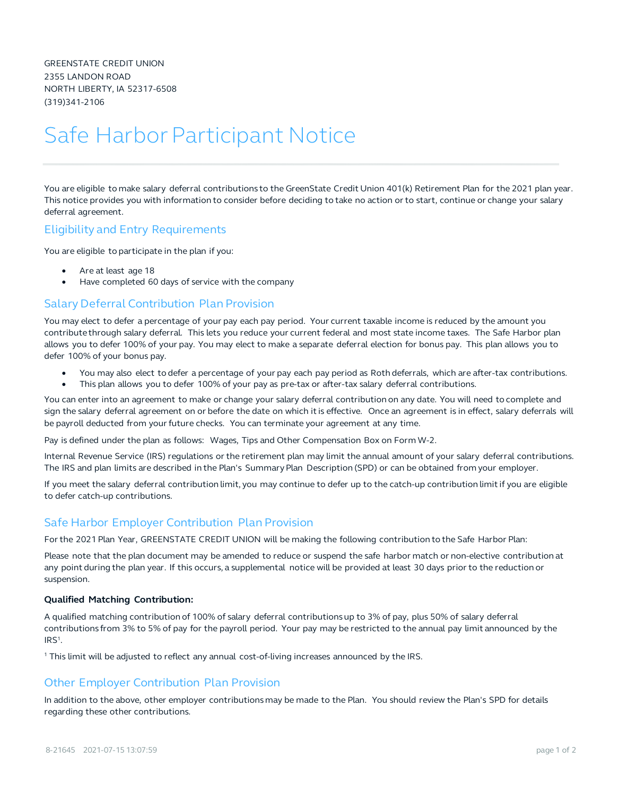GREENSTATE CREDIT UNION 2355 LANDON ROAD NORTH LIBERTY, IA 52317-6508 (319)341-2106

# Safe Harbor Participant Notice

You are eligible to make salary deferral contributions to the GreenState Credit Union 401(k) Retirement Plan for the 2021 plan year. This notice provides you with information to consider before deciding to take no action or to start, continue or change your salary deferral agreement.

# Eligibility and Entry Requirements

You are eligible to participate in the plan if you:

- Are at least age 18
- Have completed 60 days of service with the company

### Salary Deferral Contribution Plan Provision

You may elect to defer a percentage of your pay each pay period. Your current taxable income is reduced by the amount you contribute through salary deferral. This lets you reduce your current federal and most state income taxes. The Safe Harbor plan allows you to defer 100% of your pay. You may elect to make a separate deferral election for bonus pay. This plan allows you to defer 100% of your bonus pay.

- You may also elect to defer a percentage of your pay each pay period as Roth deferrals, which are after-tax contributions.
- This plan allows you to defer 100% of your pay as pre-tax or after-tax salary deferral contributions.

You can enter into an agreement to make or change your salary deferral contribution on any date. You will need to complete and sign the salary deferral agreement on or before the date on which it is effective. Once an agreement is in effect, salary deferrals will be payroll deducted from your future checks. You can terminate your agreement at any time.

Pay is defined under the plan as follows: Wages, Tips and Other Compensation Box on Form W-2.

Internal Revenue Service (IRS) regulations or the retirement plan may limit the annual amount of your salary deferral contributions. The IRS and plan limits are described in the Plan's Summary Plan Description (SPD) or can be obtained from your employer.

If you meet the salary deferral contribution limit, you may continue to defer up to the catch-up contribution limit if you are eligible to defer catch-up contributions.

# Safe Harbor Employer Contribution Plan Provision

For the 2021 Plan Year, GREENSTATE CREDIT UNION will be making the following contribution to the Safe Harbor Plan:

Please note that the plan document may be amended to reduce or suspend the safe harbor match or non-elective contribution at any point during the plan year. If this occurs, a supplemental notice will be provided at least 30 days prior to the reduction or suspension.

#### **Qualified Matching Contribution:**

A qualified matching contribution of 100% of salary deferral contributions up to 3% of pay, plus 50% of salary deferral contributions from 3% to 5% of pay for the payroll period. Your pay may be restricted to the annual pay limit announced by the IRS1.

<sup>1</sup> This limit will be adjusted to reflect any annual cost-of-living increases announced by the IRS.

# Other Employer Contribution Plan Provision

In addition to the above, other employer contributions may be made to the Plan. You should review the Plan's SPD for details regarding these other contributions.